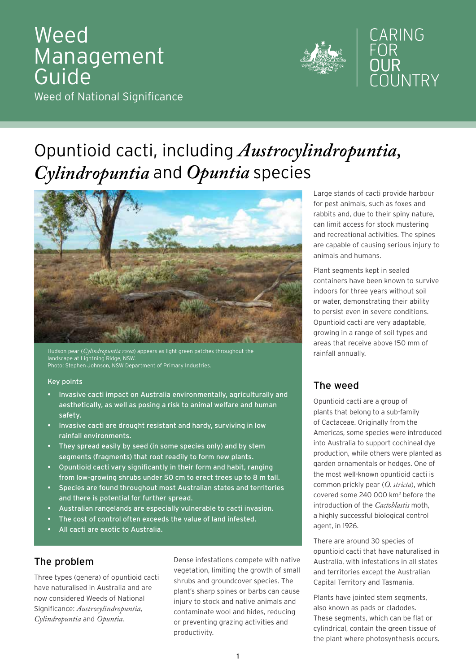# Weed **Management** Guide Weed of National Significance



# Opuntioid cacti, including *Austrocylindropuntia, Cylindropuntia* and *Opuntia* species



Hudson pear (*Cylindropuntia rosea*) appears as light green patches throughout the landscape at Lightning Ridge, NSW. Photo: Stephen Johnson, NSW Department of Primary Industries.

#### Key points

- Invasive cacti impact on Australia environmentally, agriculturally and aesthetically, as well as posing a risk to animal welfare and human safety.
- Invasive cacti are drought resistant and hardy, surviving in low rainfall environments.
- They spread easily by seed (in some species only) and by stem segments (fragments) that root readily to form new plants.
- Opuntioid cacti vary significantly in their form and habit, ranging from low-growing shrubs under 50 cm to erect trees up to 8 m tall.
- Species are found throughout most Australian states and territories and there is potential for further spread.
- Australian rangelands are especially vulnerable to cacti invasion.
- The cost of control often exceeds the value of land infested.
- All cacti are exotic to Australia.

# The problem

Three types (genera) of opuntioid cacti have naturalised in Australia and are now considered Weeds of National Significance: *Austrocylindropuntia*, *Cylindropuntia* and *Opuntia*.

Dense infestations compete with native vegetation, limiting the growth of small shrubs and groundcover species. The plant's sharp spines or barbs can cause injury to stock and native animals and contaminate wool and hides, reducing or preventing grazing activities and productivity.

Large stands of cacti provide harbour for pest animals, such as foxes and rabbits and, due to their spiny nature, can limit access for stock mustering and recreational activities. The spines are capable of causing serious injury to animals and humans.

Plant segments kept in sealed containers have been known to survive indoors for three years without soil or water, demonstrating their ability to persist even in severe conditions. Opuntioid cacti are very adaptable, growing in a range of soil types and areas that receive above 150 mm of rainfall annually.

# The weed

Opuntioid cacti are a group of plants that belong to a sub-family of Cactaceae. Originally from the Americas, some species were introduced into Australia to support cochineal dye production, while others were planted as garden ornamentals or hedges. One of the most well-known opuntioid cacti is common prickly pear (*O. stricta*), which covered some 240 000 km<sup>2</sup> before the introduction of the *Cactoblastis* moth, a highly successful biological control agent, in 1926.

There are around 30 species of opuntioid cacti that have naturalised in Australia, with infestations in all states and territories except the Australian Capital Territory and Tasmania.

Plants have jointed stem segments, also known as pads or cladodes. These segments, which can be flat or cylindrical, contain the green tissue of the plant where photosynthesis occurs.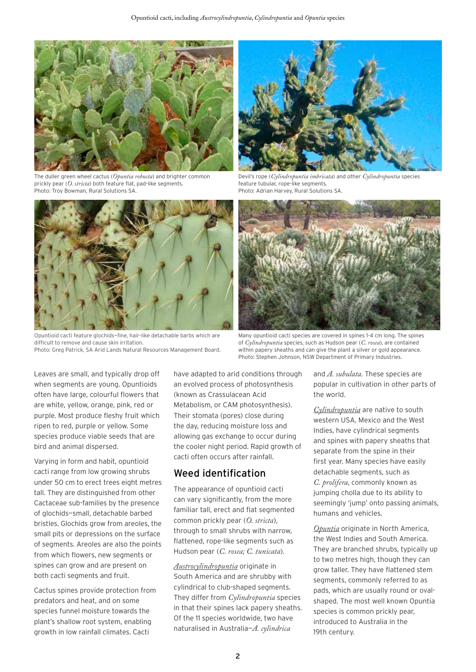

The duller green wheel cactus (*Opuntia robusta*) and brighter common prickly pear (*O. stricta*) both feature flat, pad-like segments. Photo: Troy Bowman, Rural Solutions SA.



Opuntioid cacti feature glochids—fine, hair-like detachable barbs which are difficult to remove and cause skin irritation. Photo: Greg Patrick, SA Arid Lands Natural Resources Management Board.



Devil's rope (*Cylindropuntia imbricata*) and other *Cylindropuntia* species feature tubular, rope-like segments. Photo: Adrian Harvey, Rural Solutions SA.



Many opuntioid cacti species are covered in spines 1-4 cm long. The spines of *Cylindropuntia* species, such as Hudson pear (*C. rosea*), are contained within papery sheaths and can give the plant a silver or gold appearance. Photo: Stephen Johnson, NSW Department of Primary Industries.

Leaves are small, and typically drop off when segments are young. Opuntioids often have large, colourful flowers that are white, yellow, orange, pink, red or purple. Most produce fleshy fruit which ripen to red, purple or yellow. Some species produce viable seeds that are bird and animal dispersed.

Varying in form and habit, opuntioid cacti range from low growing shrubs under 50 cm to erect trees eight metres tall. They are distinguished from other Cactaceae sub-families by the presence of glochids—small, detachable barbed bristles. Glochids grow from areoles, the small pits or depressions on the surface of segments. Areoles are also the points from which flowers, new segments or spines can grow and are present on both cacti segments and fruit.

Cactus spines provide protection from predators and heat, and on some species funnel moisture towards the plant's shallow root system, enabling growth in low rainfall climates. Cacti

have adapted to arid conditions through an evolved process of photosynthesis (known as Crassulacean Acid Metabolism, or CAM photosynthesis). Their stomata (pores) close during the day, reducing moisture loss and allowing gas exchange to occur during the cooler night period. Rapid growth of cacti often occurs after rainfall.

#### Weed identification

The appearance of opuntioid cacti can vary significantly, from the more familiar tall, erect and flat segmented common prickly pear (*O. stricta*), through to small shrubs with narrow, flattened, rope-like segments such as Hudson pear (*C. rosea; C. tunicata*).

*Austrocylindropuntia* originate in South America and are shrubby with cylindrical to club-shaped segments. They differ from *Cylindropuntia* species in that their spines lack papery sheaths. Of the 11 species worldwide, two have naturalised in Australia—*A. cylindrica*

and *A. subulata*. These species are popular in cultivation in other parts of the world.

*Cylindropuntia* are native to south western USA, Mexico and the West Indies, have cylindrical segments and spines with papery sheaths that separate from the spine in their first year. Many species have easily detachable segments, such as *C. prolifera*, commonly known as jumping cholla due to its ability to seemingly 'jump' onto passing animals, humans and vehicles.

*Opuntia* originate in North America, the West Indies and South America. They are branched shrubs, typically up to two metres high, though they can grow taller. They have flattened stem segments, commonly referred to as pads, which are usually round or ovalshaped. The most well known Opuntia species is common prickly pear, introduced to Australia in the 19th century.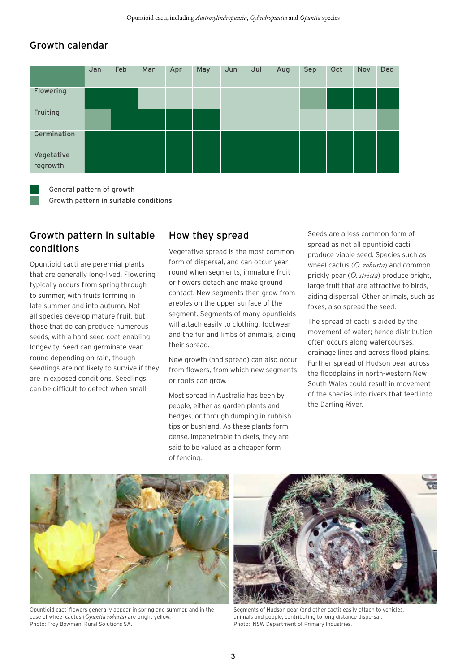#### Growth calendar



General pattern of growth Growth pattern in suitable conditions

#### Growth pattern in suitable conditions

Opuntioid cacti are perennial plants that are generally long-lived. Flowering typically occurs from spring through to summer, with fruits forming in late summer and into autumn. Not all species develop mature fruit, but those that do can produce numerous seeds, with a hard seed coat enabling longevity. Seed can germinate year round depending on rain, though seedlings are not likely to survive if they are in exposed conditions. Seedlings can be difficult to detect when small.

### How they spread

Vegetative spread is the most common form of dispersal, and can occur year round when segments, immature fruit or flowers detach and make ground contact. New segments then grow from areoles on the upper surface of the segment. Segments of many opuntioids will attach easily to clothing, footwear and the fur and limbs of animals, aiding their spread.

New growth (and spread) can also occur from flowers, from which new segments or roots can grow.

Most spread in Australia has been by people, either as garden plants and hedges, or through dumping in rubbish tips or bushland. As these plants form dense, impenetrable thickets, they are said to be valued as a cheaper form of fencing.

Seeds are a less common form of spread as not all opuntioid cacti produce viable seed. Species such as wheel cactus (*O. robusta*) and common prickly pear (*O. stricta*) produce bright, large fruit that are attractive to birds, aiding dispersal. Other animals, such as foxes, also spread the seed.

The spread of cacti is aided by the movement of water; hence distribution often occurs along watercourses, drainage lines and across flood plains. Further spread of Hudson pear across the floodplains in north-western New South Wales could result in movement of the species into rivers that feed into the Darling River.



Opuntioid cacti flowers generally appear in spring and summer, and in the case of wheel cactus (*Opuntia robusta*) are bright yellow. Photo: Troy Bowman, Rural Solutions SA.



Segments of Hudson pear (and other cacti) easily attach to vehicles, animals and people, contributing to long distance dispersal. Photo: NSW Department of Primary Industries.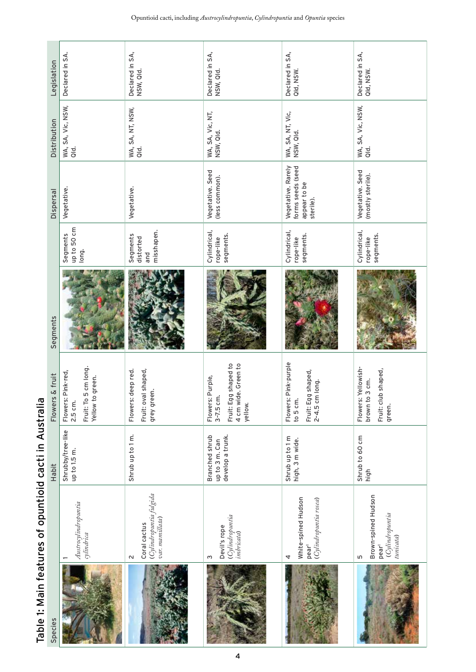| Species |                                                                                | Habit                                                | & fruit<br><b>Flowers</b>                                                                    | Segments |                                            | <b>Dispersal</b>                                                     | Distribution                  | Legislation                  |
|---------|--------------------------------------------------------------------------------|------------------------------------------------------|----------------------------------------------------------------------------------------------|----------|--------------------------------------------|----------------------------------------------------------------------|-------------------------------|------------------------------|
|         | Austrocylindropuntia<br>cylindrica                                             | Shrubby/tree-like<br>up to 1.5 m.                    | 5 cm long.<br>Pink-red,<br>Yellow to green.<br>Fruit: To<br>Flowers:<br>2.5 cm.              |          | up to 50 cm<br>Segments<br>long.           | Vegetative.                                                          | WA, SA, Vic, NSW,<br>Qld.     | Declared in SA.              |
|         | (Cylindropuntia fulgida<br>var. mamillata)<br>Coral cactus<br>$\sim$           | Shrub up to 1 m.                                     | deep red.<br>Fruit: oval shaped,<br>grey green.<br>Flowers:                                  |          | misshapen.<br>Segments<br>distorted<br>and | Vegetative.                                                          | WA, SA, NT, NSW,<br>Qld.      | Declared in SA,<br>NSW, Qld. |
|         | (Cylindropuntia<br>Devil's rope<br><i>imbricata</i> )<br>S                     | develop a trunk.<br>Branched shrub<br>up to 3 m. Can | Fruit: Egg shaped to<br>4 cm wide. Green to<br>Purple,<br>$3-7.5$ cm.<br>Flowers:<br>yellow. |          | Cylindrical,<br>segments.<br>rope-like     | Vegetative. Seed<br>(less common).                                   | WA, SA, Vic, NT,<br>NSW, Qld. | Declared in SA,<br>NSW, Qld. |
|         | White-spined Hudson<br>(Cylindropuntia rosea)<br>pear <sup>1</sup><br>4        | Shrub up to 1 m<br>high, 3 m wide.                   | Pink-purple<br>Fruit: Egg shaped,<br>2-4.5 cm long.<br>Flowers:<br>to 5 cm.                  |          | Cylindrical,<br>segments.<br>rope-like     | Vegetative. Rarely<br>forms seeds (seed<br>appear to be<br>sterile). | WA, SA, NT, Vic,<br>NSW, Qld. | Declared in SA,<br>Qld, NSW. |
|         | Brown-spined Hudson<br>Cylindropuntia<br>tunicata)<br>pear <sup>1</sup><br>LN. | Shrub to 60 cm<br>high                               | Yellowish-<br>Fruit: club shaped,<br>3 cm.<br>brown to<br>Flowers:<br>green.                 |          | Cylindrical,<br>segments.<br>rope-like     | Vegetative. Seed<br>(mostly sterile).                                | WA, SA, Vic, NSW,<br>Qld.     | Declared in SA,<br>Qld, NSW. |

Table 1: Main features of opuntioid cacti in Australia Table 1: Main features of opuntioid cacti in Australia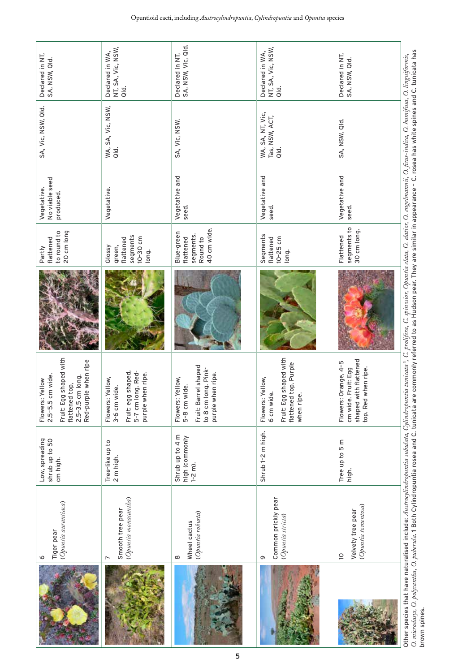| Declared in NT,<br>SA, NSW, Qld.                                                                                                   | NT, SA, Vic, NSW,<br>Declared in WA,<br>oid.                                                     | SA, NSW, Vic, Qld.<br>Declared in NT,                                                                | NT, SA, Vic, NSW,<br>Declared in WA,<br>aid.                                                    | Declared in NT,<br>SA, NSW, Qld.                                                            |                                                                                                                                                                                                                                                                                                                                                                                                                               |
|------------------------------------------------------------------------------------------------------------------------------------|--------------------------------------------------------------------------------------------------|------------------------------------------------------------------------------------------------------|-------------------------------------------------------------------------------------------------|---------------------------------------------------------------------------------------------|-------------------------------------------------------------------------------------------------------------------------------------------------------------------------------------------------------------------------------------------------------------------------------------------------------------------------------------------------------------------------------------------------------------------------------|
| SA, Vic, NSW, Qld.                                                                                                                 | WA, SA, Vic, NSW,<br>Qld.                                                                        | SA, Vic, NSW.                                                                                        | WA, SA, NT, Vic,<br>Tas, NSW, ACT,<br>$\frac{d}{d}$                                             | SA, NSW, Qld.                                                                               |                                                                                                                                                                                                                                                                                                                                                                                                                               |
| No viable seed<br>Vegetative.<br>produced.                                                                                         | Vegetative.                                                                                      | Vegetative and<br>seed.                                                                              | Vegetative and<br>seed.                                                                         | Vegetative and<br>seed.                                                                     |                                                                                                                                                                                                                                                                                                                                                                                                                               |
| 20 cm long<br>to round to<br>flattened<br>Partly                                                                                   | segments<br>10-30 cm<br>flattened<br>Glossy<br>green,<br>long.                                   | 40 cm wide.<br>Blue-green<br>segments.<br>Round to<br>flattened                                      | Segments<br>$10-25$ cm<br>flattened<br>long.                                                    | segments to<br>30 cm long.<br>Flattened                                                     |                                                                                                                                                                                                                                                                                                                                                                                                                               |
|                                                                                                                                    |                                                                                                  |                                                                                                      |                                                                                                 |                                                                                             | O. microdasys, O. polycantha, O. puberula. 1 Both Cylindropuntia rosea and C. tunicata are commonly referred to as Hudson pear. They are similar in appearance - C. rosea has white spines and C. tunicata has<br>Other species that have naturalised include: Austroplindropuntia subulata, Cylindropuntia atara { C. prolifera, C. spinosior, Opuntia elata, O. engelmannii, O. ficus-indica, O. humifusa, O. linguiformis, |
| Fruit: Egg shaped with<br>Red-purple when ripe<br>cm wide.<br>2.5-3.5 cm long.<br>Flowers: Yellow<br>flattened top,<br>$2.5 - 5.5$ | Fruit: egg shaped,<br>5-7 cm long. Red-<br>purple when ripe.<br>Flowers: Yellow,<br>3-6 cm wide. | Fruit: Barrel shaped<br>to 8 cm long. Pink-<br>purple when ripe.<br>Flowers: Yellow,<br>5-8 cm wide. | Fruit: Egg shaped with<br>flattened top. Purple<br>Flowers: Yellow,<br>6 cm wide.<br>when ripe. | shaped with flattened<br>Flowers: Orange, 4-5<br>cm wide. Fruit: Egg<br>top. Red when ripe. |                                                                                                                                                                                                                                                                                                                                                                                                                               |
| Low, spreading<br>Shrub up to 50<br>cm high.                                                                                       | Tree-like up to<br>2 m high.                                                                     | Shrub up to 4 m<br>high (commonly<br>$1 - 2$ m).                                                     | Shrub 1-2 m high.                                                                               | Tree up to 5 m<br>high.                                                                     |                                                                                                                                                                                                                                                                                                                                                                                                                               |
| (Opuntia aurantiaca)<br>Tiger pear<br>$\circ$                                                                                      | (Opuntia monacantha)<br>Smooth tree pear                                                         | (Opuntia robusta)<br>Wheel cactus<br>8                                                               | Common prickly pear<br>(Opuntia stricta)<br>G                                                   | (Opuntia tomentosa)<br>Velvety tree pear<br>$\supseteq$                                     |                                                                                                                                                                                                                                                                                                                                                                                                                               |
|                                                                                                                                    |                                                                                                  |                                                                                                      |                                                                                                 |                                                                                             | brown spines.                                                                                                                                                                                                                                                                                                                                                                                                                 |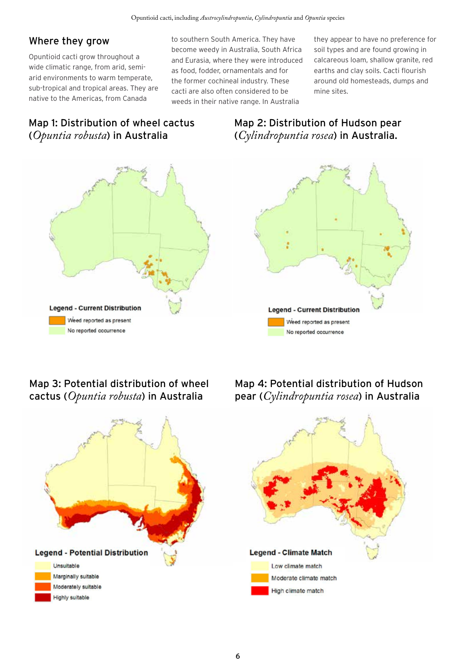#### Where they grow

Opuntioid cacti grow throughout a wide climatic range, from arid, semiarid environments to warm temperate, sub-tropical and tropical areas. They are native to the Americas, from Canada

to southern South America. They have become weedy in Australia, South Africa and Eurasia, where they were introduced as food, fodder, ornamentals and for the former cochineal industry. These cacti are also often considered to be weeds in their native range. In Australia

they appear to have no preference for soil types and are found growing in calcareous loam, shallow granite, red earths and clay soils. Cacti flourish around old homesteads, dumps and mine sites.

# Map 1: Distribution of wheel cactus (*Opuntia robusta*) in Australia



# Map 2: Distribution of Hudson pear (*Cylindropuntia rosea*) in Australia.



# Map 3: Potential distribution of wheel cactus (*Opuntia robusta*) in Australia



Map 4: Potential distribution of Hudson pear (*Cylindropuntia rosea*) in Australia

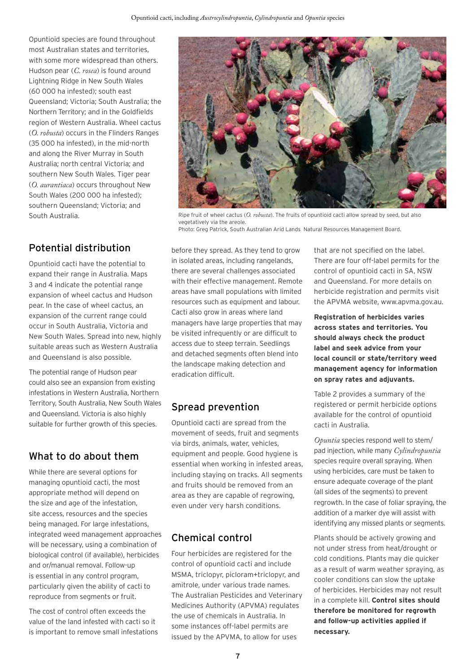Opuntioid species are found throughout most Australian states and territories, with some more widespread than others. Hudson pear (*C. rosea*) is found around Lightning Ridge in New South Wales (60 000 ha infested); south east Queensland; Victoria; South Australia; the Northern Territory; and in the Goldfields region of Western Australia. Wheel cactus (*O. robusta*) occurs in the Flinders Ranges (35 000 ha infested), in the mid-north and along the River Murray in South Australia; north central Victoria; and southern New South Wales. Tiger pear (*O. aurantiaca*) occurs throughout New South Wales (200 000 ha infested); southern Queensland; Victoria; and South Australia.

# Potential distribution

Opuntioid cacti have the potential to expand their range in Australia. Maps 3 and 4 indicate the potential range expansion of wheel cactus and Hudson pear. In the case of wheel cactus, an expansion of the current range could occur in South Australia, Victoria and New South Wales. Spread into new, highly suitable areas such as Western Australia and Queensland is also possible.

The potential range of Hudson pear could also see an expansion from existing infestations in Western Australia, Northern Territory, South Australia, New South Wales and Queensland. Victoria is also highly suitable for further growth of this species.

# What to do about them

While there are several options for managing opuntioid cacti, the most appropriate method will depend on the size and age of the infestation, site access, resources and the species being managed. For large infestations, integrated weed management approaches will be necessary, using a combination of biological control (if available), herbicides and or/manual removal. Follow-up is essential in any control program, particularly given the ability of cacti to reproduce from segments or fruit.

The cost of control often exceeds the value of the land infested with cacti so it is important to remove small infestations



Ripe fruit of wheel cactus (*O. robusta*). The fruits of opuntioid cacti allow spread by seed, but also vegetatively via the areole. Photo: Greg Patrick, South Australian Arid Lands Natural Resources Management Board.

before they spread. As they tend to grow in isolated areas, including rangelands, there are several challenges associated with their effective management. Remote areas have small populations with limited resources such as equipment and labour. Cacti also grow in areas where land managers have large properties that may be visited infrequently or are difficult to access due to steep terrain. Seedlings and detached segments often blend into the landscape making detection and eradication difficult.

# Spread prevention

Opuntioid cacti are spread from the movement of seeds, fruit and segments via birds, animals, water, vehicles, equipment and people. Good hygiene is essential when working in infested areas, including staying on tracks. All segments and fruits should be removed from an area as they are capable of regrowing, even under very harsh conditions.

# Chemical control

Four herbicides are registered for the control of opuntioid cacti and include MSMA, triclopyr, picloram+triclopyr, and amitrole, under various trade names. The Australian Pesticides and Veterinary Medicines Authority (APVMA) regulates the use of chemicals in Australia. In some instances off-label permits are issued by the APVMA, to allow for uses

that are not specified on the label. There are four off-label permits for the control of opuntioid cacti in SA, NSW and Queensland. For more details on herbicide registration and permits visit the APVMA website, www.apvma.gov.au.

**Registration of herbicides varies across states and territories. You should always check the product label and seek advice from your local council or state/territory weed management agency for information on spray rates and adjuvants.** 

Table 2 provides a summary of the registered or permit herbicide options available for the control of opuntioid cacti in Australia.

*Opuntia* species respond well to stem/ pad injection, while many *Cylindropuntia* species require overall spraying. When using herbicides, care must be taken to ensure adequate coverage of the plant (all sides of the segments) to prevent regrowth. In the case of foliar spraying, the addition of a marker dye will assist with identifying any missed plants or segments.

Plants should be actively growing and not under stress from heat/drought or cold conditions. Plants may die quicker as a result of warm weather spraying, as cooler conditions can slow the uptake of herbicides. Herbicides may not result in a complete kill. **Control sites should therefore be monitored for regrowth and follow-up activities applied if necessary.**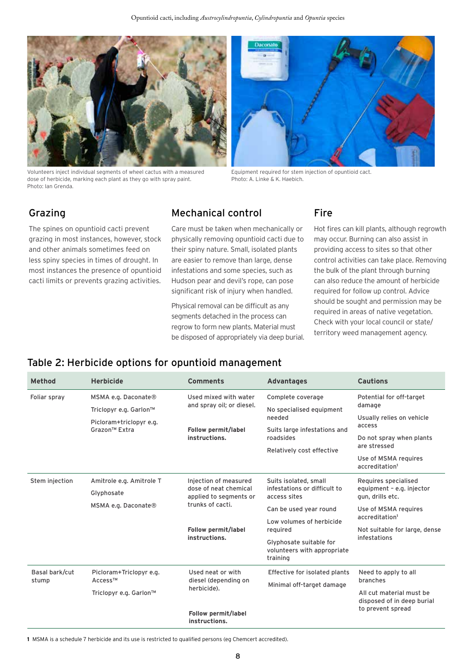

Volunteers inject individual segments of wheel cactus with a measured dose of herbicide, marking each plant as they go with spray paint. Photo: Ian Grenda.



Equipment required for stem injection of opuntioid cact. Photo: A. Linke & K. Haebich.

# Grazing

The spines on opuntioid cacti prevent grazing in most instances, however, stock and other animals sometimes feed on less spiny species in times of drought. In most instances the presence of opuntioid cacti limits or prevents grazing activities.

# Mechanical control

Care must be taken when mechanically or physically removing opuntioid cacti due to their spiny nature. Small, isolated plants are easier to remove than large, dense infestations and some species, such as Hudson pear and devil's rope, can pose significant risk of injury when handled.

Physical removal can be difficult as any segments detached in the process can regrow to form new plants. Material must be disposed of appropriately via deep burial.

#### Fire

Hot fires can kill plants, although regrowth may occur. Burning can also assist in providing access to sites so that other control activities can take place. Removing the bulk of the plant through burning can also reduce the amount of herbicide required for follow up control. Advice should be sought and permission may be required in areas of native vegetation. Check with your local council or state/ territory weed management agency.

#### Table 2: Herbicide options for opuntioid management

| <b>Method</b>           | <b>Herbicide</b>                                                                                      | <b>Comments</b>                                                                                                                      | <b>Advantages</b>                                                              | <b>Cautions</b>                                                       |
|-------------------------|-------------------------------------------------------------------------------------------------------|--------------------------------------------------------------------------------------------------------------------------------------|--------------------------------------------------------------------------------|-----------------------------------------------------------------------|
| Foliar spray            | MSMA e.g. Daconate®<br>Triclopyr e.g. Garlon™<br>Picloram+triclopyr e.g.<br>Grazon <sup>™</sup> Extra | Used mixed with water<br>and spray oil; or diesel.                                                                                   | Complete coverage<br>No specialised equipment<br>needed                        | Potential for off-target<br>damage<br>Usually relies on vehicle       |
|                         |                                                                                                       | Follow permit/label<br>instructions.                                                                                                 | Suits large infestations and<br>roadsides<br>Relatively cost effective         | access<br>Do not spray when plants<br>are stressed                    |
|                         |                                                                                                       |                                                                                                                                      |                                                                                | Use of MSMA requires<br>accreditation <sup>1</sup>                    |
| Stem injection          | Amitrole e.g. Amitrole T<br>Glyphosate                                                                | Injection of measured<br>dose of neat chemical<br>applied to segments or<br>trunks of cacti.<br>Follow permit/label<br>instructions. | Suits isolated, small<br>infestations or difficult to<br>access sites          | Requires specialised<br>equipment - e.g. injector<br>qun, drills etc. |
|                         | MSMA e.g. Daconate®                                                                                   |                                                                                                                                      | Can be used year round<br>Low volumes of herbicide                             | Use of MSMA requires<br>accreditation <sup>1</sup>                    |
|                         |                                                                                                       |                                                                                                                                      | reauired<br>Glyphosate suitable for<br>volunteers with appropriate<br>training | Not suitable for large, dense<br>infestations                         |
| Basal bark/cut<br>stump | Picloram+Triclopyr e.g.<br>Access™                                                                    | Used neat or with<br>diesel (depending on                                                                                            | Effective for isolated plants<br>Minimal off-target damage                     | Need to apply to all<br>branches                                      |
|                         | Triclopyr e.g. Garlon™                                                                                | herbicide).                                                                                                                          |                                                                                | All cut material must be<br>disposed of in deep burial                |
|                         |                                                                                                       | Follow permit/label<br>instructions.                                                                                                 |                                                                                | to prevent spread                                                     |

**1** MSMA is a schedule 7 herbicide and its use is restricted to qualified persons (eg Chemcert accredited).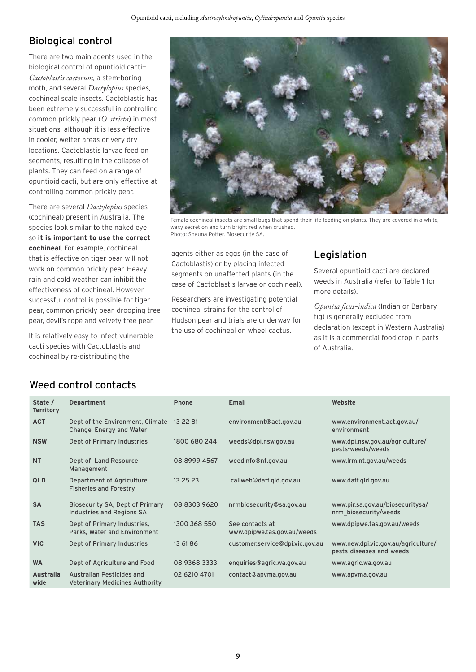# Biological control

There are two main agents used in the biological control of opuntioid cacti— *Cactoblastis cactorum*, a stem-boring moth, and several *Dactylopius* species, cochineal scale insects. Cactoblastis has been extremely successful in controlling common prickly pear (*O. stricta*) in most situations, although it is less effective in cooler, wetter areas or very dry locations. Cactoblastis larvae feed on segments, resulting in the collapse of plants. They can feed on a range of opuntioid cacti, but are only effective at controlling common prickly pear.

There are several *Dactylopius* species (cochineal) present in Australia. The species look similar to the naked eye so **it is important to use the correct cochineal**. For example, cochineal that is effective on tiger pear will not work on common prickly pear. Heavy rain and cold weather can inhibit the effectiveness of cochineal. However, successful control is possible for tiger pear, common prickly pear, drooping tree pear, devil's rope and velvety tree pear.

It is relatively easy to infect vulnerable cacti species with Cactoblastis and cochineal by re-distributing the



Female cochineal insects are small bugs that spend their life feeding on plants. They are covered in a white, waxy secretion and turn bright red when crushed. Photo: Shauna Potter, Biosecurity SA.

agents either as eggs (in the case of Cactoblastis) or by placing infected segments on unaffected plants (in the case of Cactoblastis larvae or cochineal).

Researchers are investigating potential cochineal strains for the control of Hudson pear and trials are underway for the use of cochineal on wheel cactus.

### Legislation

Several opuntioid cacti are declared weeds in Australia (refer to Table 1 for more details).

*Opuntia ficus-indica* (Indian or Barbary fig) is generally excluded from declaration (except in Western Australia) as it is a commercial food crop in parts of Australia.

#### Weed control contacts

| State /<br><b>Territory</b> | <b>Department</b>                                            | <b>Phone</b> | <b>Email</b>                                   | Website                                                         |
|-----------------------------|--------------------------------------------------------------|--------------|------------------------------------------------|-----------------------------------------------------------------|
| <b>ACT</b>                  | Dept of the Environment, Climate<br>Change, Energy and Water | 13 22 81     | environment@act.gov.au                         | www.environment.act.gov.au/<br>environment                      |
| <b>NSW</b>                  | Dept of Primary Industries                                   | 1800 680 244 | weeds@dpi.nsw.gov.au                           | www.dpi.nsw.gov.au/agriculture/<br>pests-weeds/weeds            |
| <b>NT</b>                   | Dept of Land Resource<br>Management                          | 08 8999 4567 | weedinfo@nt.gov.au                             | www.lrm.nt.gov.au/weeds                                         |
| <b>QLD</b>                  | Department of Agriculture,<br><b>Fisheries and Forestry</b>  | 13 25 23     | callweb@daff.gld.gov.au                        | www.daff.gld.gov.au                                             |
| <b>SA</b>                   | Biosecurity SA, Dept of Primary<br>Industries and Regions SA | 08 8303 9620 | nrmbiosecurity@sa.gov.au                       | www.pir.sa.gov.au/biosecuritysa/<br>nrm_biosecurity/weeds       |
| <b>TAS</b>                  | Dept of Primary Industries,<br>Parks, Water and Environment  | 1300 368 550 | See contacts at<br>www.dpipwe.tas.gov.au/weeds | www.dpipwe.tas.gov.au/weeds                                     |
| <b>VIC</b>                  | Dept of Primary Industries                                   | 13 61 86     | customer.service@dpi.vic.gov.au                | www.new.dpi.vic.gov.au/agriculture/<br>pests-diseases-and-weeds |
| <b>WA</b>                   | Dept of Agriculture and Food                                 | 08 9368 3333 | enquiries@agric.wa.gov.au                      | www.agric.wa.gov.au                                             |
| <b>Australia</b><br>wide    | Australian Pesticides and<br>Veterinary Medicines Authority  | 02 6210 4701 | contact@apvma.gov.au                           | www.apvma.gov.au                                                |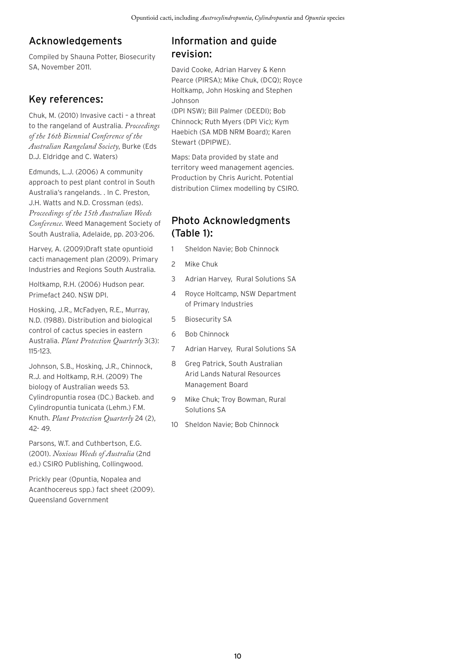# Acknowledgements

Compiled by Shauna Potter, Biosecurity SA, November 2011.

# Key references:

Chuk, M. (2010) Invasive cacti – a threat to the rangeland of Australia. *Proceedings of the 16th Biennial Conference of the Australian Rangeland Society*, Burke (Eds D.J. Eldridge and C. Waters)

Edmunds, L.J. (2006) A community approach to pest plant control in South Australia's rangelands. . In C. Preston, J.H. Watts and N.D. Crossman (eds). *Proceedings of the 15th Australian Weeds Conference*. Weed Management Society of South Australia, Adelaide, pp. 203-206.

Harvey, A. (2009)Draft state opuntioid cacti management plan (2009). Primary Industries and Regions South Australia.

Holtkamp, R.H. (2006) Hudson pear. Primefact 240. NSW DPI.

Hosking, J.R., McFadyen, R.E., Murray, N.D. (1988). Distribution and biological control of cactus species in eastern Australia. *Plant Protection Quarterly* 3(3): 115-123.

Johnson, S.B., Hosking, J.R., Chinnock, R.J. and Holtkamp, R.H. (2009) The biology of Australian weeds 53. Cylindropuntia rosea (DC.) Backeb. and Cylindropuntia tunicata (Lehm.) F.M. Knuth. *Plant Protection Quarterly* 24 (2), 42- 49.

Parsons, W.T. and Cuthbertson, E.G. (2001). *Noxious Weeds of Australia* (2nd ed.) CSIRO Publishing, Collingwood.

Prickly pear (Opuntia, Nopalea and Acanthocereus spp.) fact sheet (2009). Queensland Government

# Information and guide revision:

David Cooke, Adrian Harvey & Kenn Pearce (PIRSA); Mike Chuk, (DCQ); Royce Holtkamp, John Hosking and Stephen Johnson

(DPI NSW); Bill Palmer (DEEDI); Bob Chinnock; Ruth Myers (DPI Vic); Kym Haebich (SA MDB NRM Board); Karen Stewart (DPIPWE).

Maps: Data provided by state and territory weed management agencies. Production by Chris Auricht. Potential distribution Climex modelling by CSIRO.

# Photo Acknowledgments (Table 1):

- 1 Sheldon Navie; Bob Chinnock
- 2 Mike Chuk
- 3 Adrian Harvey, Rural Solutions SA
- 4 Royce Holtcamp, NSW Department of Primary Industries
- 5 Biosecurity SA
- 6 Bob Chinnock
- 7 Adrian Harvey, Rural Solutions SA
- 8 Greg Patrick, South Australian Arid Lands Natural Resources Management Board
- 9 Mike Chuk; Troy Bowman, Rural Solutions SA
- 10 Sheldon Navie; Bob Chinnock